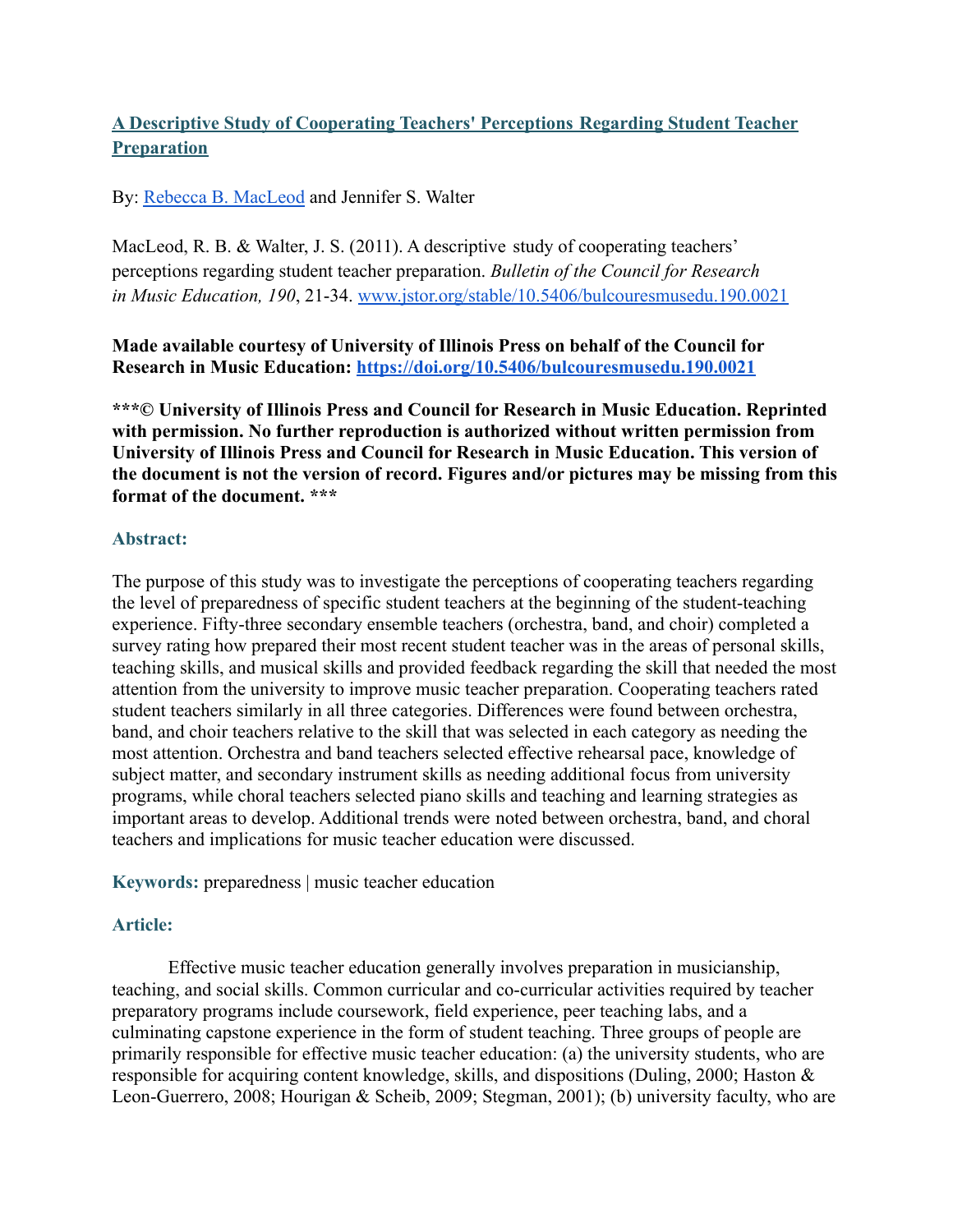# **A Descriptive Study of Cooperating Teachers' Perceptions Regarding Student Teacher Preparation**

By: [Rebecca B. MacLeod](https://libres.uncg.edu/ir/uncg/clist.aspx?id=3788) and Jennifer S. Walter

MacLeod, R. B. & Walter, J. S. (2011). A descriptive study of cooperating teachers' perceptions regarding student teacher preparation. *Bulletin of the Council for Research in Music Education, 190*, 21-34. [www.jstor.org/stable/10.5406/bulcouresmusedu.190.0021](http://www.jstor.org/stable/10.5406/bulcouresmusedu.190.0021)

**Made available courtesy of University of Illinois Press on behalf of the Council for Research in Music Education: <https://doi.org/10.5406/bulcouresmusedu.190.0021>**

**\*\*\*© University of Illinois Press and Council for Research in Music Education. Reprinted with permission. No further reproduction is authorized without written permission from University of Illinois Press and Council for Research in Music Education. This version of the document is not the version of record. Figures and/or pictures may be missing from this format of the document. \*\*\***

## **Abstract:**

The purpose of this study was to investigate the perceptions of cooperating teachers regarding the level of preparedness of specific student teachers at the beginning of the student-teaching experience. Fifty-three secondary ensemble teachers (orchestra, band, and choir) completed a survey rating how prepared their most recent student teacher was in the areas of personal skills, teaching skills, and musical skills and provided feedback regarding the skill that needed the most attention from the university to improve music teacher preparation. Cooperating teachers rated student teachers similarly in all three categories. Differences were found between orchestra, band, and choir teachers relative to the skill that was selected in each category as needing the most attention. Orchestra and band teachers selected effective rehearsal pace, knowledge of subject matter, and secondary instrument skills as needing additional focus from university programs, while choral teachers selected piano skills and teaching and learning strategies as important areas to develop. Additional trends were noted between orchestra, band, and choral teachers and implications for music teacher education were discussed.

**Keywords:** preparedness | music teacher education

## **Article:**

Effective music teacher education generally involves preparation in musicianship, teaching, and social skills. Common curricular and co-curricular activities required by teacher preparatory programs include coursework, field experience, peer teaching labs, and a culminating capstone experience in the form of student teaching. Three groups of people are primarily responsible for effective music teacher education: (a) the university students, who are responsible for acquiring content knowledge, skills, and dispositions (Duling, 2000; Haston & Leon-Guerrero, 2008; Hourigan & Scheib, 2009; Stegman, 2001); (b) university faculty, who are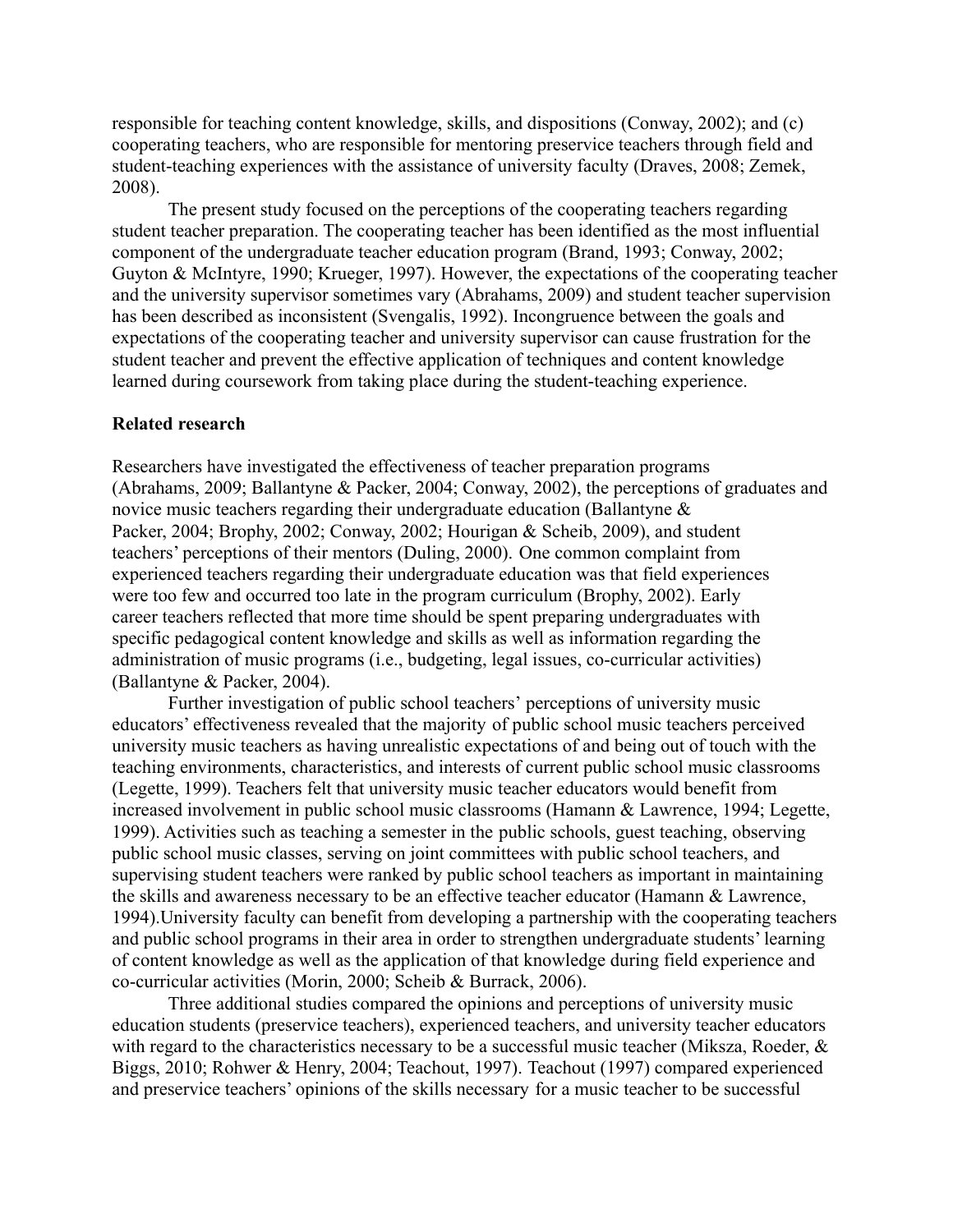responsible for teaching content knowledge, skills, and dispositions (Conway, 2002); and (c) cooperating teachers, who are responsible for mentoring preservice teachers through field and student-teaching experiences with the assistance of university faculty (Draves, 2008; Zemek, 2008).

The present study focused on the perceptions of the cooperating teachers regarding student teacher preparation. The cooperating teacher has been identified as the most influential component of the undergraduate teacher education program (Brand, 1993; Conway, 2002; Guyton & McIntyre, 1990; Krueger, 1997). However, the expectations of the cooperating teacher and the university supervisor sometimes vary (Abrahams, 2009) and student teacher supervision has been described as inconsistent (Svengalis, 1992). Incongruence between the goals and expectations of the cooperating teacher and university supervisor can cause frustration for the student teacher and prevent the effective application of techniques and content knowledge learned during coursework from taking place during the student-teaching experience.

#### **Related research**

Researchers have investigated the effectiveness of teacher preparation programs (Abrahams, 2009; Ballantyne & Packer, 2004; Conway, 2002), the perceptions of graduates and novice music teachers regarding their undergraduate education (Ballantyne & Packer, 2004; Brophy, 2002; Conway, 2002; Hourigan & Scheib, 2009), and student teachers' perceptions of their mentors (Duling, 2000). One common complaint from experienced teachers regarding their undergraduate education was that field experiences were too few and occurred too late in the program curriculum (Brophy, 2002). Early career teachers reflected that more time should be spent preparing undergraduates with specific pedagogical content knowledge and skills as well as information regarding the administration of music programs (i.e., budgeting, legal issues, co-curricular activities) (Ballantyne & Packer, 2004).

Further investigation of public school teachers' perceptions of university music educators' effectiveness revealed that the majority of public school music teachers perceived university music teachers as having unrealistic expectations of and being out of touch with the teaching environments, characteristics, and interests of current public school music classrooms (Legette, 1999). Teachers felt that university music teacher educators would benefit from increased involvement in public school music classrooms (Hamann & Lawrence, 1994; Legette, 1999). Activities such as teaching a semester in the public schools, guest teaching, observing public school music classes, serving on joint committees with public school teachers, and supervising student teachers were ranked by public school teachers as important in maintaining the skills and awareness necessary to be an effective teacher educator (Hamann & Lawrence, 1994).University faculty can benefit from developing a partnership with the cooperating teachers and public school programs in their area in order to strengthen undergraduate students' learning of content knowledge as well as the application of that knowledge during field experience and co-curricular activities (Morin, 2000; Scheib & Burrack, 2006).

Three additional studies compared the opinions and perceptions of university music education students (preservice teachers), experienced teachers, and university teacher educators with regard to the characteristics necessary to be a successful music teacher (Miksza, Roeder, & Biggs, 2010; Rohwer & Henry, 2004; Teachout, 1997). Teachout (1997) compared experienced and preservice teachers' opinions of the skills necessary for a music teacher to be successful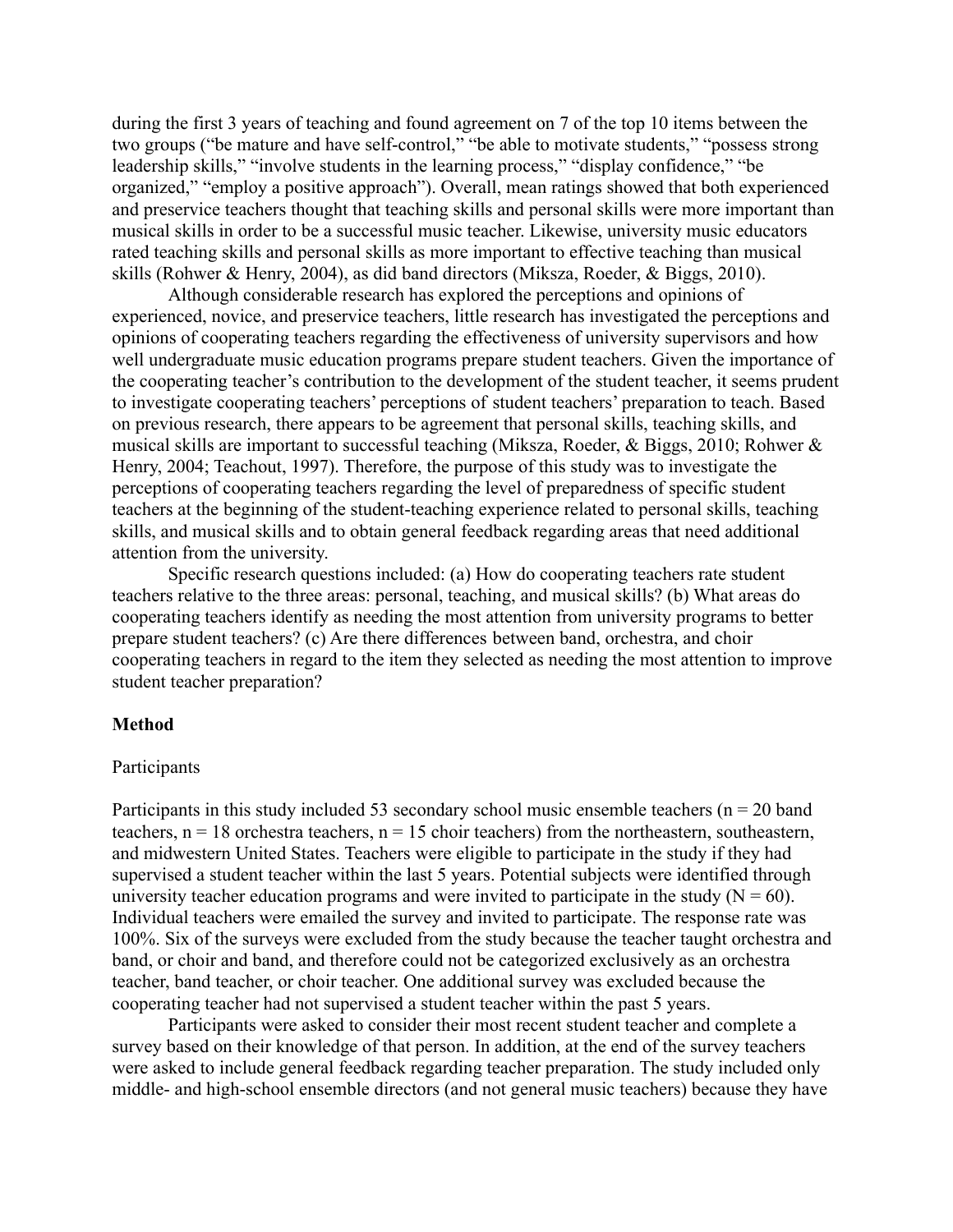during the first 3 years of teaching and found agreement on 7 of the top 10 items between the two groups ("be mature and have self-control," "be able to motivate students," "possess strong leadership skills," "involve students in the learning process," "display confidence," "be organized," "employ a positive approach"). Overall, mean ratings showed that both experienced and preservice teachers thought that teaching skills and personal skills were more important than musical skills in order to be a successful music teacher. Likewise, university music educators rated teaching skills and personal skills as more important to effective teaching than musical skills (Rohwer & Henry, 2004), as did band directors (Miksza, Roeder, & Biggs, 2010).

Although considerable research has explored the perceptions and opinions of experienced, novice, and preservice teachers, little research has investigated the perceptions and opinions of cooperating teachers regarding the effectiveness of university supervisors and how well undergraduate music education programs prepare student teachers. Given the importance of the cooperating teacher's contribution to the development of the student teacher, it seems prudent to investigate cooperating teachers' perceptions of student teachers' preparation to teach. Based on previous research, there appears to be agreement that personal skills, teaching skills, and musical skills are important to successful teaching (Miksza, Roeder, & Biggs, 2010; Rohwer & Henry, 2004; Teachout, 1997). Therefore, the purpose of this study was to investigate the perceptions of cooperating teachers regarding the level of preparedness of specific student teachers at the beginning of the student-teaching experience related to personal skills, teaching skills, and musical skills and to obtain general feedback regarding areas that need additional attention from the university.

Specific research questions included: (a) How do cooperating teachers rate student teachers relative to the three areas: personal, teaching, and musical skills? (b) What areas do cooperating teachers identify as needing the most attention from university programs to better prepare student teachers? (c) Are there differences between band, orchestra, and choir cooperating teachers in regard to the item they selected as needing the most attention to improve student teacher preparation?

### **Method**

#### Participants

Participants in this study included 53 secondary school music ensemble teachers ( $n = 20$  band teachers,  $n = 18$  orchestra teachers,  $n = 15$  choir teachers) from the northeastern, southeastern, and midwestern United States. Teachers were eligible to participate in the study if they had supervised a student teacher within the last 5 years. Potential subjects were identified through university teacher education programs and were invited to participate in the study  $(N = 60)$ . Individual teachers were emailed the survey and invited to participate. The response rate was 100%. Six of the surveys were excluded from the study because the teacher taught orchestra and band, or choir and band, and therefore could not be categorized exclusively as an orchestra teacher, band teacher, or choir teacher. One additional survey was excluded because the cooperating teacher had not supervised a student teacher within the past 5 years.

Participants were asked to consider their most recent student teacher and complete a survey based on their knowledge of that person. In addition, at the end of the survey teachers were asked to include general feedback regarding teacher preparation. The study included only middle- and high-school ensemble directors (and not general music teachers) because they have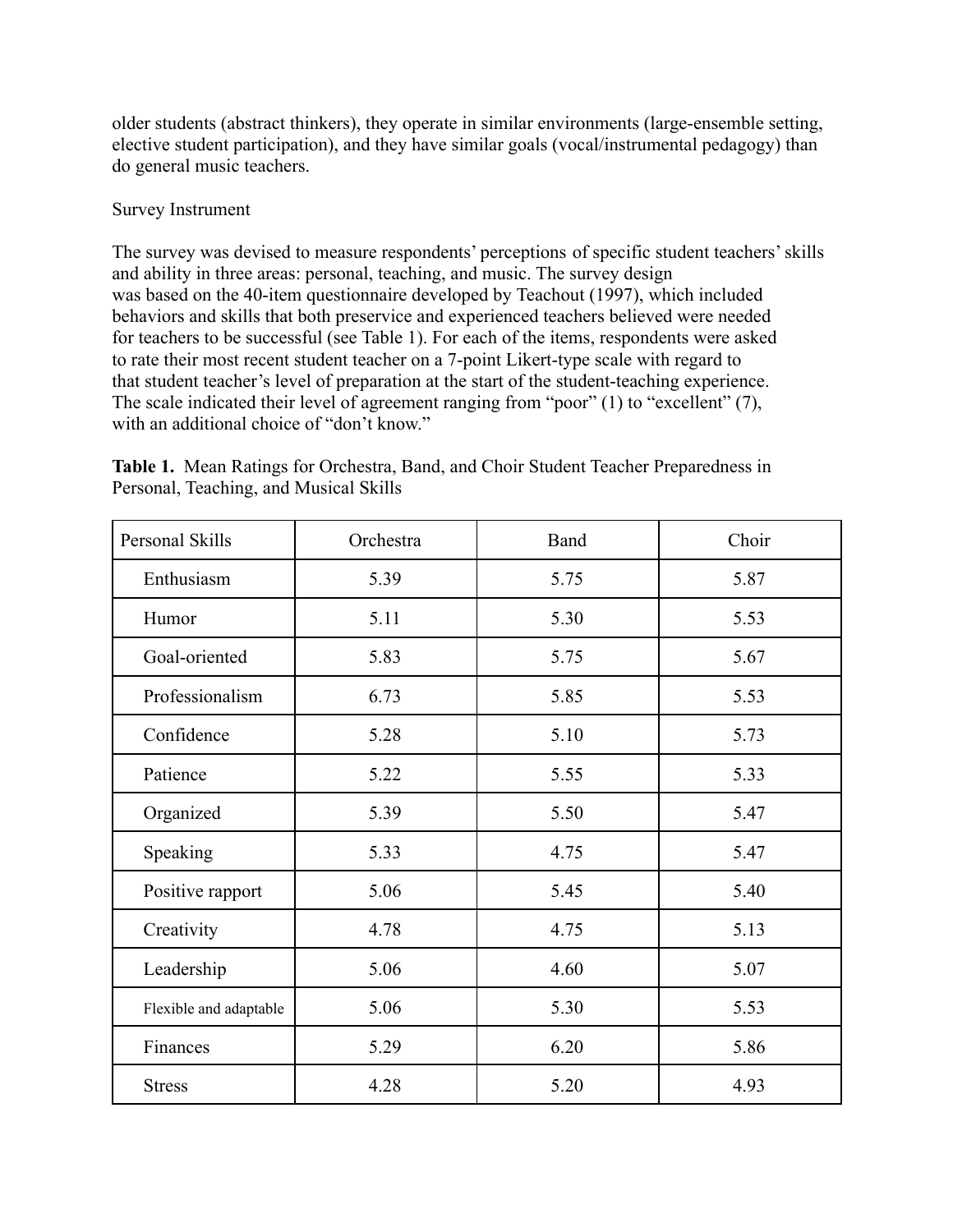older students (abstract thinkers), they operate in similar environments (large-ensemble setting, elective student participation), and they have similar goals (vocal/instrumental pedagogy) than do general music teachers.

## Survey Instrument

The survey was devised to measure respondents' perceptions of specific student teachers' skills and ability in three areas: personal, teaching, and music. The survey design was based on the 40-item questionnaire developed by Teachout (1997), which included behaviors and skills that both preservice and experienced teachers believed were needed for teachers to be successful (see Table 1). For each of the items, respondents were asked to rate their most recent student teacher on a 7-point Likert-type scale with regard to that student teacher's level of preparation at the start of the student-teaching experience. The scale indicated their level of agreement ranging from "poor" (1) to "excellent" (7), with an additional choice of "don't know."

| <b>Table 1.</b> Mean Ratings for Orchestra, Band, and Choir Student Teacher Preparedness in |  |  |  |
|---------------------------------------------------------------------------------------------|--|--|--|
| Personal, Teaching, and Musical Skills                                                      |  |  |  |

| Personal Skills        | Orchestra | Band | Choir |
|------------------------|-----------|------|-------|
| Enthusiasm             | 5.39      | 5.75 | 5.87  |
| Humor                  | 5.11      | 5.30 | 5.53  |
| Goal-oriented          | 5.83      | 5.75 | 5.67  |
| Professionalism        | 6.73      | 5.85 | 5.53  |
| Confidence             | 5.28      | 5.10 | 5.73  |
| Patience               | 5.22      | 5.55 | 5.33  |
| Organized              | 5.39      | 5.50 | 5.47  |
| Speaking               | 5.33      | 4.75 | 5.47  |
| Positive rapport       | 5.06      | 5.45 | 5.40  |
| Creativity             | 4.78      | 4.75 | 5.13  |
| Leadership             | 5.06      | 4.60 | 5.07  |
| Flexible and adaptable | 5.06      | 5.30 | 5.53  |
| Finances               | 5.29      | 6.20 | 5.86  |
| <b>Stress</b>          | 4.28      | 5.20 | 4.93  |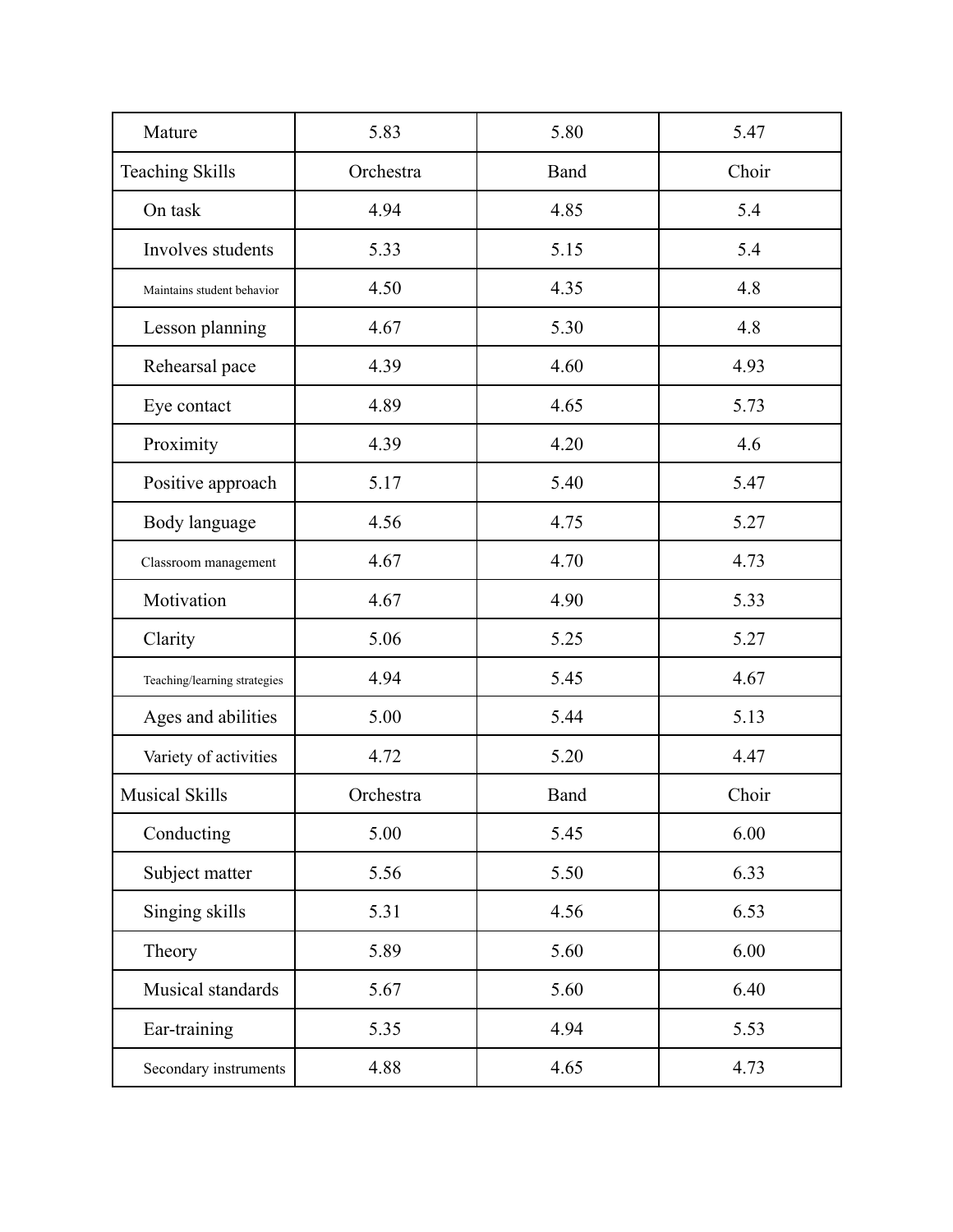| Mature                       | 5.83      | 5.80 | 5.47  |
|------------------------------|-----------|------|-------|
| <b>Teaching Skills</b>       | Orchestra | Band | Choir |
| On task                      | 4.94      | 4.85 | 5.4   |
| Involves students            | 5.33      | 5.15 | 5.4   |
| Maintains student behavior   | 4.50      | 4.35 | 4.8   |
| Lesson planning              | 4.67      | 5.30 | 4.8   |
| Rehearsal pace               | 4.39      | 4.60 | 4.93  |
| Eye contact                  | 4.89      | 4.65 | 5.73  |
| Proximity                    | 4.39      | 4.20 | 4.6   |
| Positive approach            | 5.17      | 5.40 | 5.47  |
| Body language                | 4.56      | 4.75 | 5.27  |
| Classroom management         | 4.67      | 4.70 | 4.73  |
| Motivation                   | 4.67      | 4.90 | 5.33  |
| Clarity                      | 5.06      | 5.25 | 5.27  |
| Teaching/learning strategies | 4.94      | 5.45 | 4.67  |
| Ages and abilities           | 5.00      | 5.44 | 5.13  |
| Variety of activities        | 4.72      | 5.20 | 4.47  |
| <b>Musical Skills</b>        | Orchestra | Band | Choir |
| Conducting                   | 5.00      | 5.45 | 6.00  |
| Subject matter               | 5.56      | 5.50 | 6.33  |
| Singing skills               | 5.31      | 4.56 | 6.53  |
| Theory                       | 5.89      | 5.60 | 6.00  |
| Musical standards            | 5.67      | 5.60 | 6.40  |
| Ear-training                 | 5.35      | 4.94 | 5.53  |
| Secondary instruments        | 4.88      | 4.65 | 4.73  |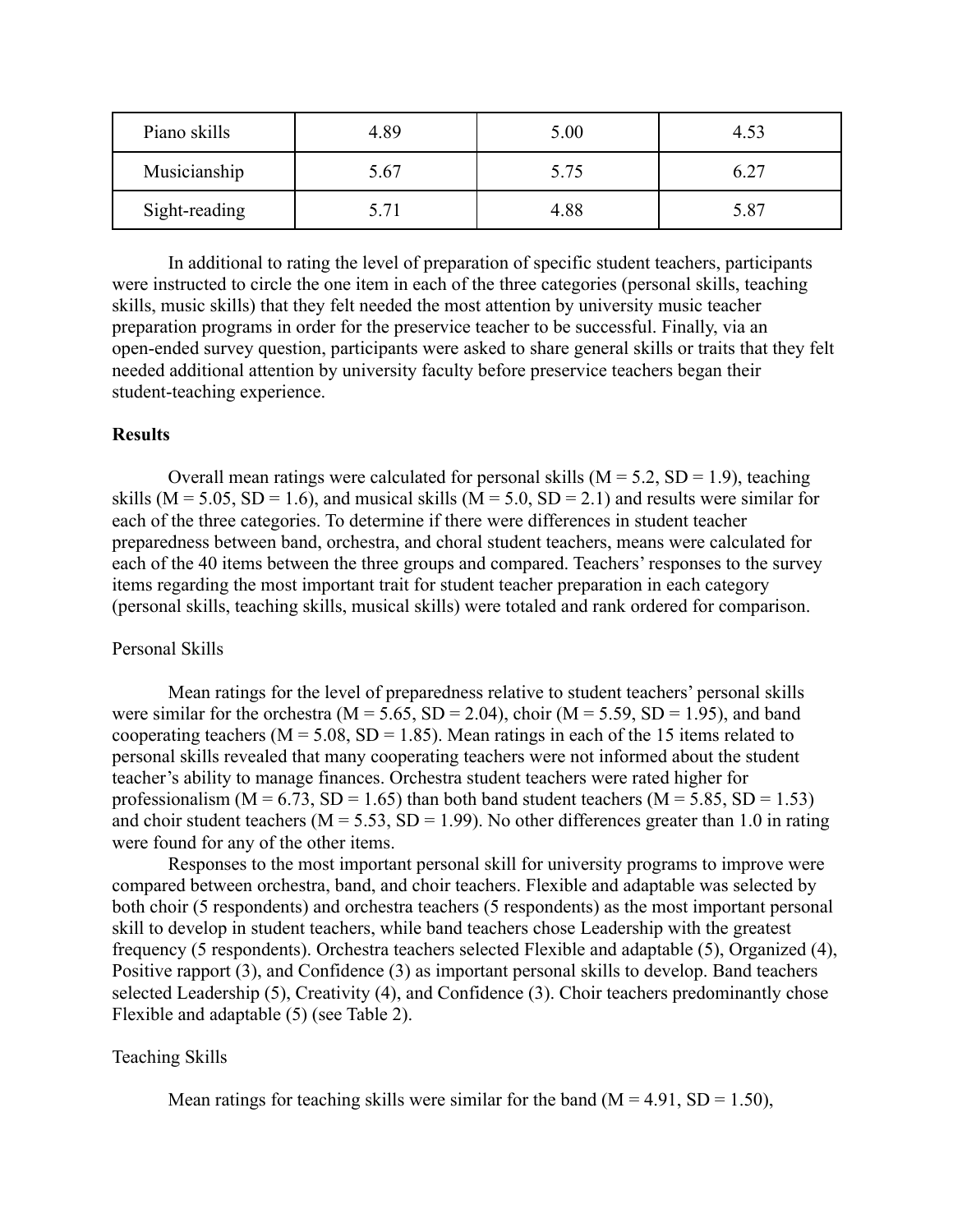| Piano skills  | 4.89 | 5.00 | 4.53 |
|---------------|------|------|------|
| Musicianship  | 5.67 | 5.75 | 6.27 |
| Sight-reading | 5.71 | 4.88 | 5.87 |

In additional to rating the level of preparation of specific student teachers, participants were instructed to circle the one item in each of the three categories (personal skills, teaching skills, music skills) that they felt needed the most attention by university music teacher preparation programs in order for the preservice teacher to be successful. Finally, via an open-ended survey question, participants were asked to share general skills or traits that they felt needed additional attention by university faculty before preservice teachers began their student-teaching experience.

## **Results**

Overall mean ratings were calculated for personal skills  $(M = 5.2, SD = 1.9)$ , teaching skills ( $M = 5.05$ ,  $SD = 1.6$ ), and musical skills ( $M = 5.0$ ,  $SD = 2.1$ ) and results were similar for each of the three categories. To determine if there were differences in student teacher preparedness between band, orchestra, and choral student teachers, means were calculated for each of the 40 items between the three groups and compared. Teachers' responses to the survey items regarding the most important trait for student teacher preparation in each category (personal skills, teaching skills, musical skills) were totaled and rank ordered for comparison.

## Personal Skills

Mean ratings for the level of preparedness relative to student teachers' personal skills were similar for the orchestra ( $M = 5.65$ ,  $SD = 2.04$ ), choir ( $M = 5.59$ ,  $SD = 1.95$ ), and band cooperating teachers ( $M = 5.08$ ,  $SD = 1.85$ ). Mean ratings in each of the 15 items related to personal skills revealed that many cooperating teachers were not informed about the student teacher's ability to manage finances. Orchestra student teachers were rated higher for professionalism ( $M = 6.73$ ,  $SD = 1.65$ ) than both band student teachers ( $M = 5.85$ ,  $SD = 1.53$ ) and choir student teachers ( $M = 5.53$ ,  $SD = 1.99$ ). No other differences greater than 1.0 in rating were found for any of the other items.

Responses to the most important personal skill for university programs to improve were compared between orchestra, band, and choir teachers. Flexible and adaptable was selected by both choir (5 respondents) and orchestra teachers (5 respondents) as the most important personal skill to develop in student teachers, while band teachers chose Leadership with the greatest frequency (5 respondents). Orchestra teachers selected Flexible and adaptable (5), Organized (4), Positive rapport (3), and Confidence (3) as important personal skills to develop. Band teachers selected Leadership (5), Creativity (4), and Confidence (3). Choir teachers predominantly chose Flexible and adaptable (5) (see Table 2).

## Teaching Skills

Mean ratings for teaching skills were similar for the band  $(M = 4.91, SD = 1.50)$ ,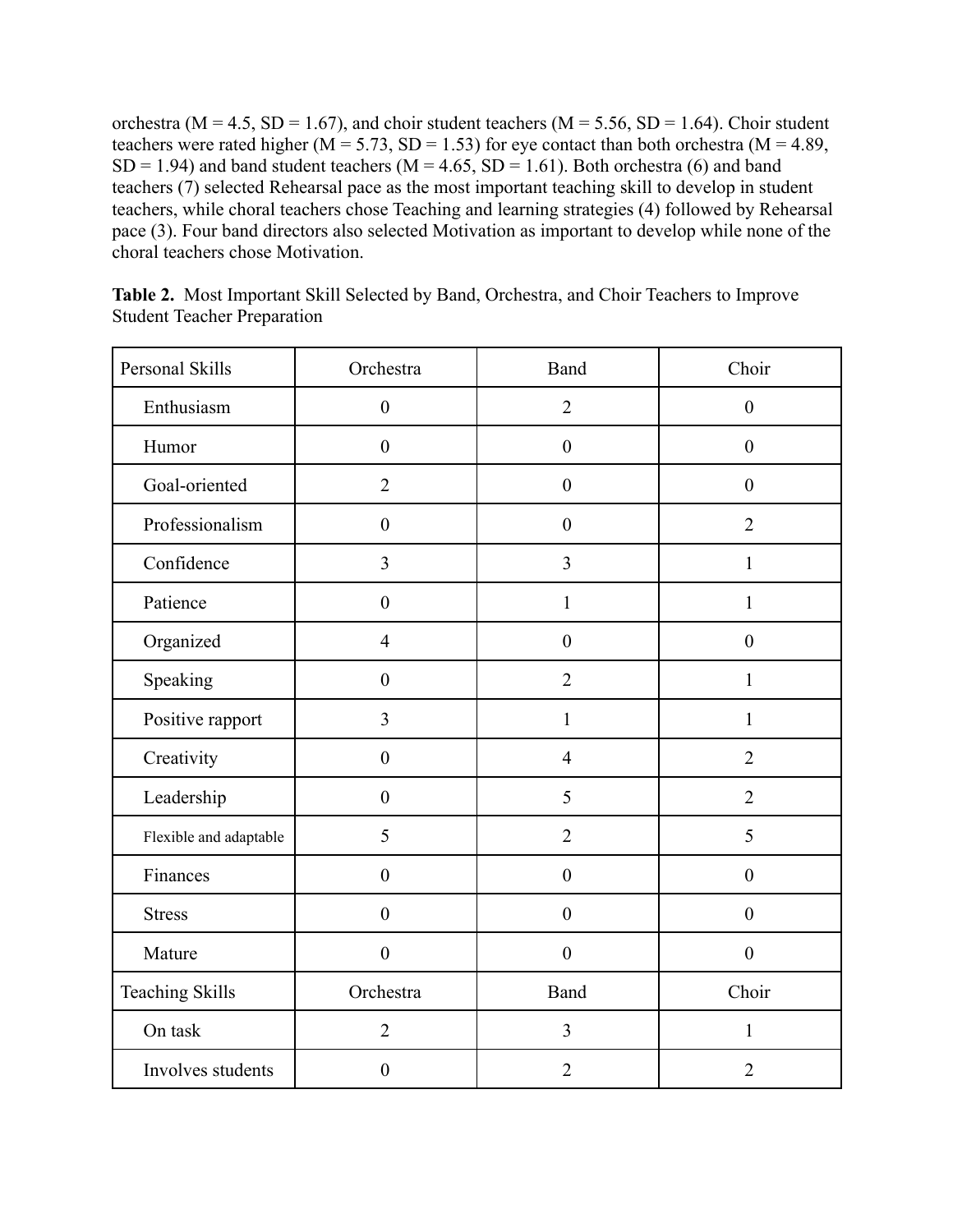orchestra ( $M = 4.5$ ,  $SD = 1.67$ ), and choir student teachers ( $M = 5.56$ ,  $SD = 1.64$ ). Choir student teachers were rated higher ( $M = 5.73$ ,  $SD = 1.53$ ) for eye contact than both orchestra ( $M = 4.89$ ,  $SD = 1.94$ ) and band student teachers (M = 4.65, SD = 1.61). Both orchestra (6) and band teachers (7) selected Rehearsal pace as the most important teaching skill to develop in student teachers, while choral teachers chose Teaching and learning strategies (4) followed by Rehearsal pace (3). Four band directors also selected Motivation as important to develop while none of the choral teachers chose Motivation.

| Personal Skills        | Orchestra        | <b>Band</b>      | Choir            |
|------------------------|------------------|------------------|------------------|
| Enthusiasm             | $\boldsymbol{0}$ | $\overline{2}$   | $\boldsymbol{0}$ |
| Humor                  | $\boldsymbol{0}$ | $\boldsymbol{0}$ | $\boldsymbol{0}$ |
| Goal-oriented          | $\overline{2}$   | $\boldsymbol{0}$ | $\overline{0}$   |
| Professionalism        | $\boldsymbol{0}$ | $\boldsymbol{0}$ | $\overline{2}$   |
| Confidence             | 3                | $\overline{3}$   | $\mathbf{1}$     |
| Patience               | $\boldsymbol{0}$ | $\mathbf{1}$     | $\mathbf{1}$     |
| Organized              | $\overline{4}$   | $\boldsymbol{0}$ | $\boldsymbol{0}$ |
| Speaking               | $\boldsymbol{0}$ | $\overline{2}$   | $\mathbf{1}$     |
| Positive rapport       | $\overline{3}$   | $\mathbf{1}$     | $\mathbf{1}$     |
| Creativity             | $\boldsymbol{0}$ | $\overline{4}$   | $\overline{2}$   |
| Leadership             | $\boldsymbol{0}$ | 5                | $\overline{2}$   |
| Flexible and adaptable | 5                | $\overline{2}$   | 5                |
| Finances               | $\boldsymbol{0}$ | $\boldsymbol{0}$ | $\boldsymbol{0}$ |
| <b>Stress</b>          | $\boldsymbol{0}$ | $\boldsymbol{0}$ | $\boldsymbol{0}$ |
| Mature                 | $\boldsymbol{0}$ | $\boldsymbol{0}$ | $\boldsymbol{0}$ |
| <b>Teaching Skills</b> | Orchestra        | Band             | Choir            |
| On task                | $\overline{2}$   | $\overline{3}$   | $\mathbf{1}$     |
| Involves students      | $\boldsymbol{0}$ | $\overline{2}$   | $\overline{2}$   |

**Table 2.** Most Important Skill Selected by Band, Orchestra, and Choir Teachers to Improve Student Teacher Preparation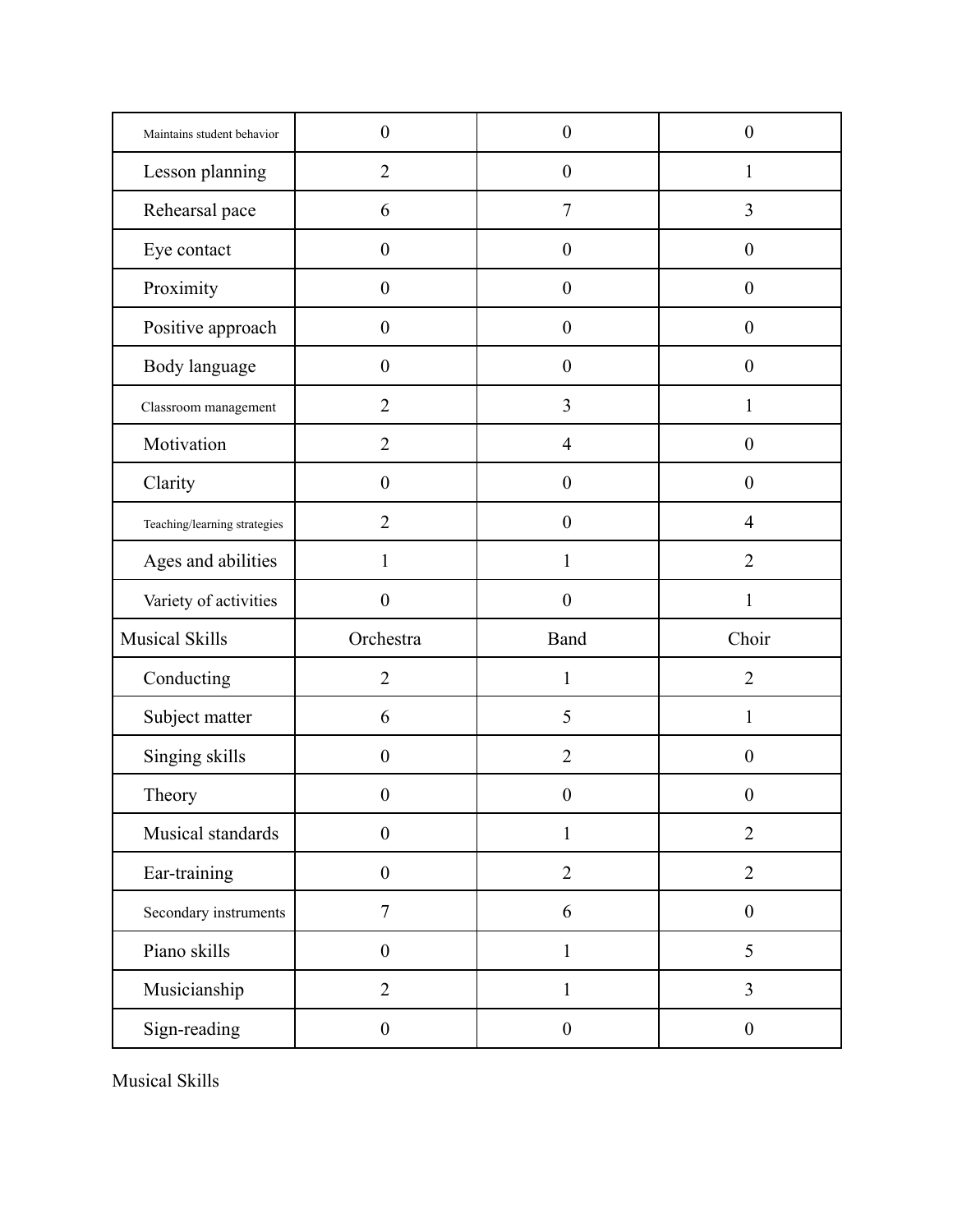| Maintains student behavior   | $\boldsymbol{0}$ | $\boldsymbol{0}$ | $\boldsymbol{0}$ |
|------------------------------|------------------|------------------|------------------|
| Lesson planning              | $\overline{2}$   | $\boldsymbol{0}$ | 1                |
| Rehearsal pace               | 6                | $\overline{7}$   | 3                |
| Eye contact                  | $\boldsymbol{0}$ | $\boldsymbol{0}$ | $\boldsymbol{0}$ |
| Proximity                    | $\boldsymbol{0}$ | $\boldsymbol{0}$ | $\boldsymbol{0}$ |
| Positive approach            | $\boldsymbol{0}$ | $\boldsymbol{0}$ | $\boldsymbol{0}$ |
| Body language                | $\boldsymbol{0}$ | $\boldsymbol{0}$ | $\boldsymbol{0}$ |
| Classroom management         | $\overline{2}$   | 3                | 1                |
| Motivation                   | $\overline{2}$   | $\overline{4}$   | $\boldsymbol{0}$ |
| Clarity                      | $\boldsymbol{0}$ | $\boldsymbol{0}$ | $\boldsymbol{0}$ |
| Teaching/learning strategies | $\overline{2}$   | $\boldsymbol{0}$ | $\overline{4}$   |
| Ages and abilities           | 1                | $\mathbf{1}$     | $\overline{2}$   |
|                              |                  |                  |                  |
| Variety of activities        | $\boldsymbol{0}$ | $\boldsymbol{0}$ | 1                |
| <b>Musical Skills</b>        | Orchestra        | <b>Band</b>      | Choir            |
| Conducting                   | $\overline{2}$   | $\mathbf{1}$     | $\overline{2}$   |
| Subject matter               | 6                | 5                | 1                |
| Singing skills               | $\boldsymbol{0}$ | $\overline{2}$   | $\boldsymbol{0}$ |
| Theory                       | $\boldsymbol{0}$ | $\boldsymbol{0}$ | $\boldsymbol{0}$ |
| Musical standards            | $\boldsymbol{0}$ | $\mathbf{1}$     | $\overline{2}$   |
| Ear-training                 | $\boldsymbol{0}$ | $\overline{2}$   | $\overline{2}$   |
| Secondary instruments        | $\overline{7}$   | 6                | $\boldsymbol{0}$ |
| Piano skills                 | $\boldsymbol{0}$ | $\mathbf{1}$     | 5                |
| Musicianship                 | $\overline{2}$   | $\mathbf{1}$     | $\overline{3}$   |

Musical Skills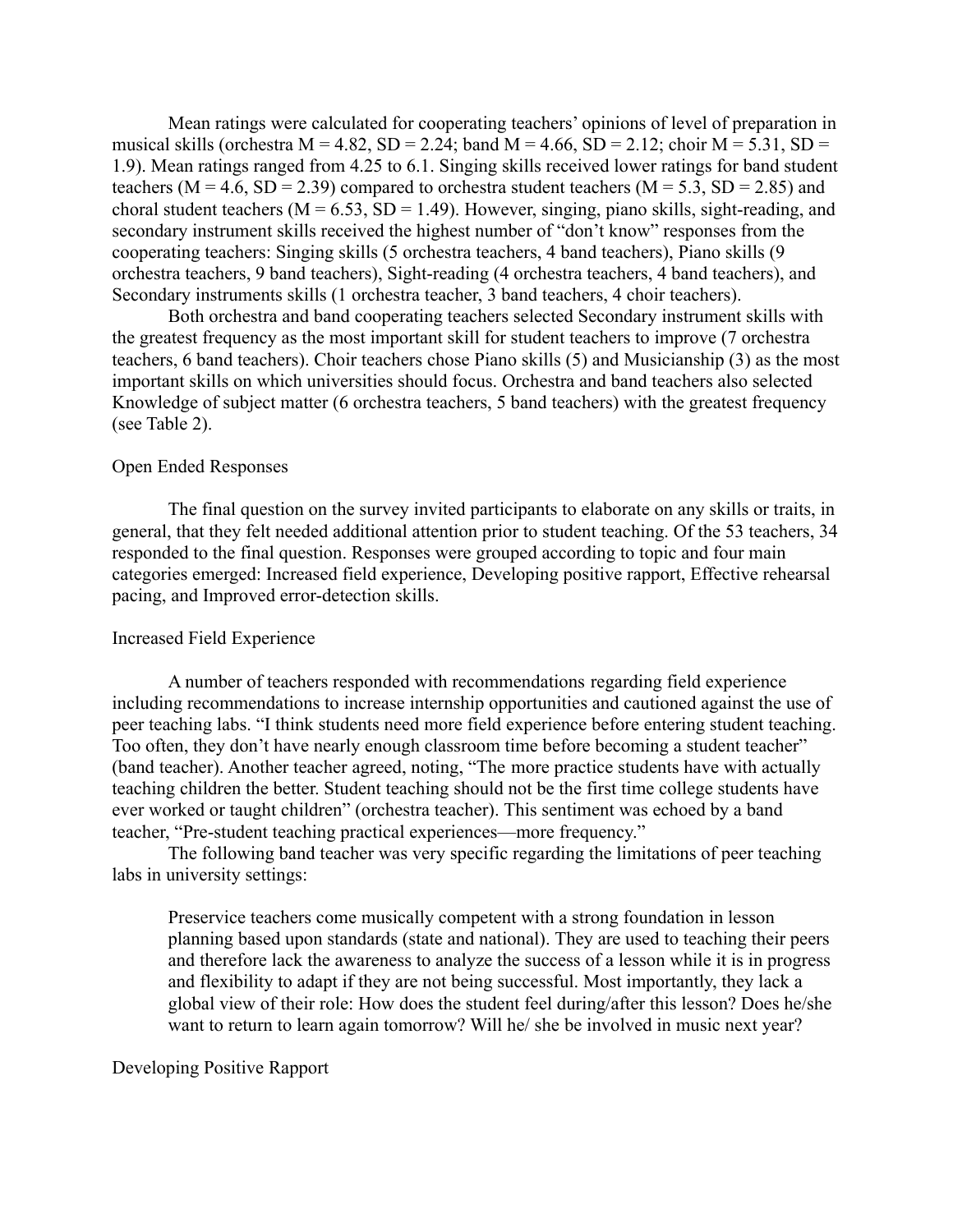Mean ratings were calculated for cooperating teachers' opinions of level of preparation in musical skills (orchestra  $M = 4.82$ ,  $SD = 2.24$ ; band  $M = 4.66$ ,  $SD = 2.12$ ; choir  $M = 5.31$ ,  $SD =$ 1.9). Mean ratings ranged from 4.25 to 6.1. Singing skills received lower ratings for band student teachers ( $M = 4.6$ ,  $SD = 2.39$ ) compared to orchestra student teachers ( $M = 5.3$ ,  $SD = 2.85$ ) and choral student teachers ( $M = 6.53$ ,  $SD = 1.49$ ). However, singing, piano skills, sight-reading, and secondary instrument skills received the highest number of "don't know" responses from the cooperating teachers: Singing skills (5 orchestra teachers, 4 band teachers), Piano skills (9 orchestra teachers, 9 band teachers), Sight-reading (4 orchestra teachers, 4 band teachers), and Secondary instruments skills (1 orchestra teacher, 3 band teachers, 4 choir teachers).

Both orchestra and band cooperating teachers selected Secondary instrument skills with the greatest frequency as the most important skill for student teachers to improve (7 orchestra teachers, 6 band teachers). Choir teachers chose Piano skills (5) and Musicianship (3) as the most important skills on which universities should focus. Orchestra and band teachers also selected Knowledge of subject matter (6 orchestra teachers, 5 band teachers) with the greatest frequency (see Table 2).

### Open Ended Responses

The final question on the survey invited participants to elaborate on any skills or traits, in general, that they felt needed additional attention prior to student teaching. Of the 53 teachers, 34 responded to the final question. Responses were grouped according to topic and four main categories emerged: Increased field experience, Developing positive rapport, Effective rehearsal pacing, and Improved error-detection skills.

#### Increased Field Experience

A number of teachers responded with recommendations regarding field experience including recommendations to increase internship opportunities and cautioned against the use of peer teaching labs. "I think students need more field experience before entering student teaching. Too often, they don't have nearly enough classroom time before becoming a student teacher" (band teacher). Another teacher agreed, noting, "The more practice students have with actually teaching children the better. Student teaching should not be the first time college students have ever worked or taught children" (orchestra teacher). This sentiment was echoed by a band teacher, "Pre-student teaching practical experiences—more frequency."

The following band teacher was very specific regarding the limitations of peer teaching labs in university settings:

Preservice teachers come musically competent with a strong foundation in lesson planning based upon standards (state and national). They are used to teaching their peers and therefore lack the awareness to analyze the success of a lesson while it is in progress and flexibility to adapt if they are not being successful. Most importantly, they lack a global view of their role: How does the student feel during/after this lesson? Does he/she want to return to learn again tomorrow? Will he/ she be involved in music next year?

#### Developing Positive Rapport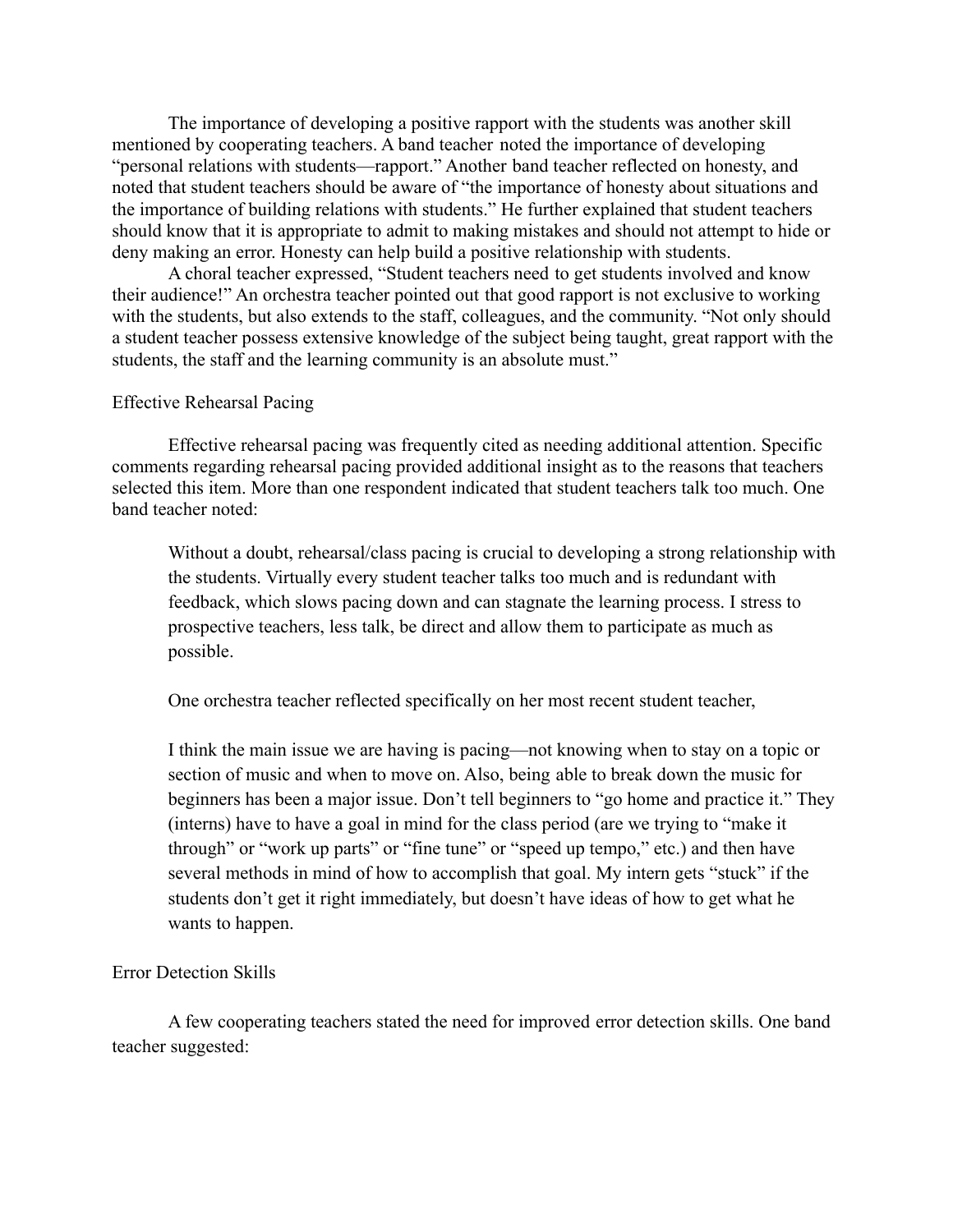The importance of developing a positive rapport with the students was another skill mentioned by cooperating teachers. A band teacher noted the importance of developing "personal relations with students—rapport." Another band teacher reflected on honesty, and noted that student teachers should be aware of "the importance of honesty about situations and the importance of building relations with students." He further explained that student teachers should know that it is appropriate to admit to making mistakes and should not attempt to hide or deny making an error. Honesty can help build a positive relationship with students.

A choral teacher expressed, "Student teachers need to get students involved and know their audience!" An orchestra teacher pointed out that good rapport is not exclusive to working with the students, but also extends to the staff, colleagues, and the community. "Not only should a student teacher possess extensive knowledge of the subject being taught, great rapport with the students, the staff and the learning community is an absolute must."

### Effective Rehearsal Pacing

Effective rehearsal pacing was frequently cited as needing additional attention. Specific comments regarding rehearsal pacing provided additional insight as to the reasons that teachers selected this item. More than one respondent indicated that student teachers talk too much. One band teacher noted:

Without a doubt, rehearsal/class pacing is crucial to developing a strong relationship with the students. Virtually every student teacher talks too much and is redundant with feedback, which slows pacing down and can stagnate the learning process. I stress to prospective teachers, less talk, be direct and allow them to participate as much as possible.

One orchestra teacher reflected specifically on her most recent student teacher,

I think the main issue we are having is pacing—not knowing when to stay on a topic or section of music and when to move on. Also, being able to break down the music for beginners has been a major issue. Don't tell beginners to "go home and practice it." They (interns) have to have a goal in mind for the class period (are we trying to "make it through" or "work up parts" or "fine tune" or "speed up tempo," etc.) and then have several methods in mind of how to accomplish that goal. My intern gets "stuck" if the students don't get it right immediately, but doesn't have ideas of how to get what he wants to happen.

#### Error Detection Skills

A few cooperating teachers stated the need for improved error detection skills. One band teacher suggested: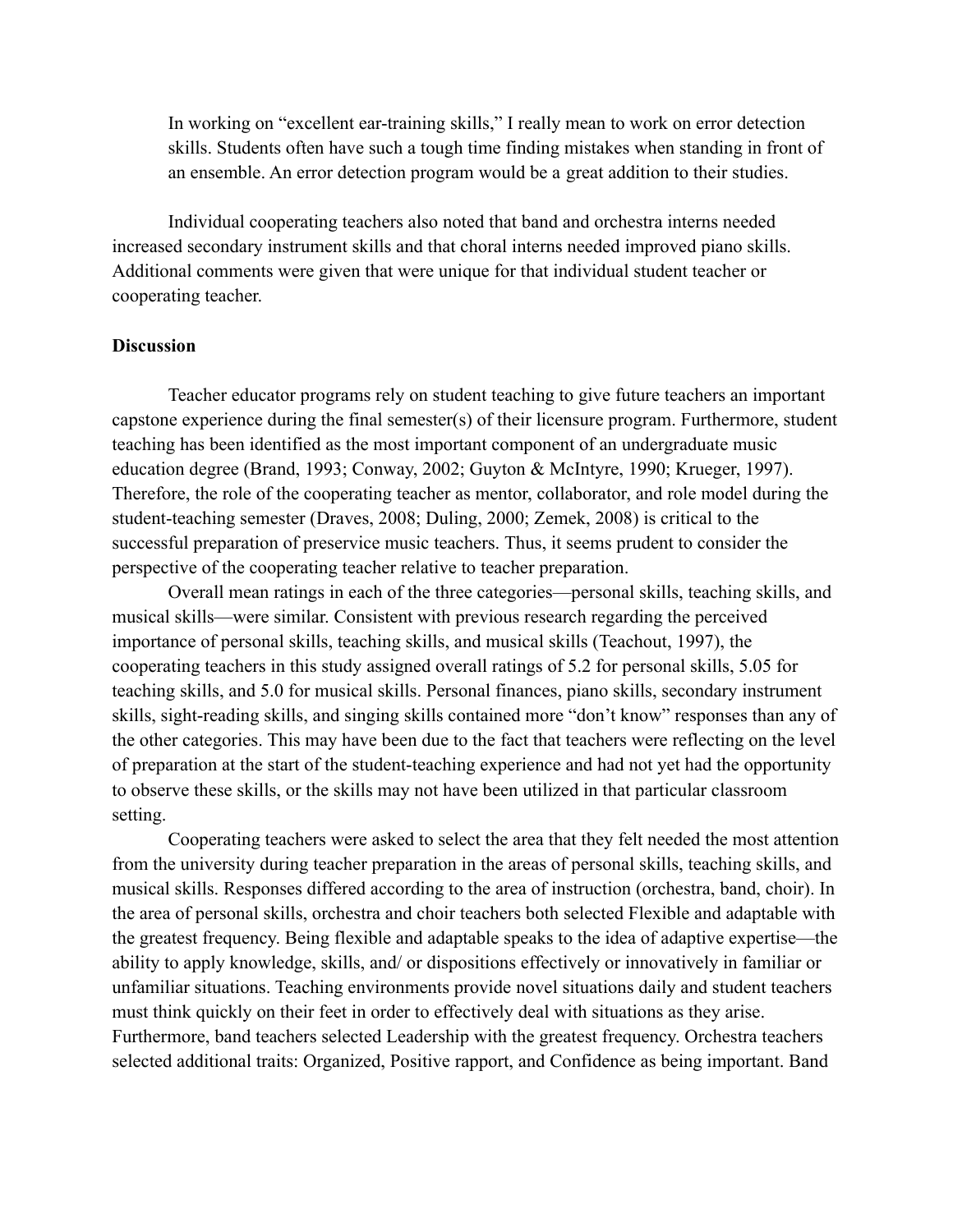In working on "excellent ear-training skills," I really mean to work on error detection skills. Students often have such a tough time finding mistakes when standing in front of an ensemble. An error detection program would be a great addition to their studies.

Individual cooperating teachers also noted that band and orchestra interns needed increased secondary instrument skills and that choral interns needed improved piano skills. Additional comments were given that were unique for that individual student teacher or cooperating teacher.

### **Discussion**

Teacher educator programs rely on student teaching to give future teachers an important capstone experience during the final semester(s) of their licensure program. Furthermore, student teaching has been identified as the most important component of an undergraduate music education degree (Brand, 1993; Conway, 2002; Guyton & McIntyre, 1990; Krueger, 1997). Therefore, the role of the cooperating teacher as mentor, collaborator, and role model during the student-teaching semester (Draves, 2008; Duling, 2000; Zemek, 2008) is critical to the successful preparation of preservice music teachers. Thus, it seems prudent to consider the perspective of the cooperating teacher relative to teacher preparation.

Overall mean ratings in each of the three categories—personal skills, teaching skills, and musical skills—were similar. Consistent with previous research regarding the perceived importance of personal skills, teaching skills, and musical skills (Teachout, 1997), the cooperating teachers in this study assigned overall ratings of 5.2 for personal skills, 5.05 for teaching skills, and 5.0 for musical skills. Personal finances, piano skills, secondary instrument skills, sight-reading skills, and singing skills contained more "don't know" responses than any of the other categories. This may have been due to the fact that teachers were reflecting on the level of preparation at the start of the student-teaching experience and had not yet had the opportunity to observe these skills, or the skills may not have been utilized in that particular classroom setting.

Cooperating teachers were asked to select the area that they felt needed the most attention from the university during teacher preparation in the areas of personal skills, teaching skills, and musical skills. Responses differed according to the area of instruction (orchestra, band, choir). In the area of personal skills, orchestra and choir teachers both selected Flexible and adaptable with the greatest frequency. Being flexible and adaptable speaks to the idea of adaptive expertise—the ability to apply knowledge, skills, and/ or dispositions effectively or innovatively in familiar or unfamiliar situations. Teaching environments provide novel situations daily and student teachers must think quickly on their feet in order to effectively deal with situations as they arise. Furthermore, band teachers selected Leadership with the greatest frequency. Orchestra teachers selected additional traits: Organized, Positive rapport, and Confidence as being important. Band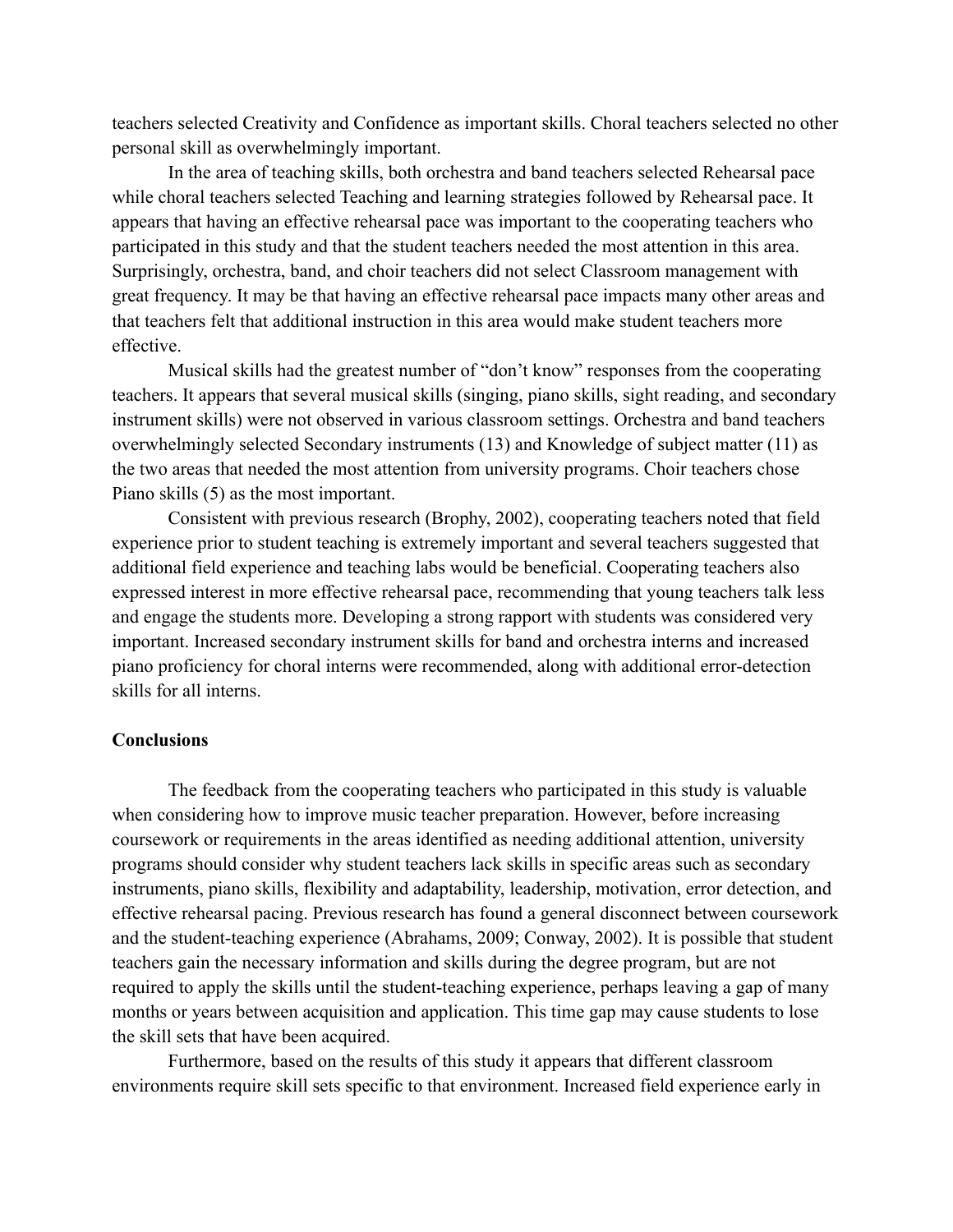teachers selected Creativity and Confidence as important skills. Choral teachers selected no other personal skill as overwhelmingly important.

In the area of teaching skills, both orchestra and band teachers selected Rehearsal pace while choral teachers selected Teaching and learning strategies followed by Rehearsal pace. It appears that having an effective rehearsal pace was important to the cooperating teachers who participated in this study and that the student teachers needed the most attention in this area. Surprisingly, orchestra, band, and choir teachers did not select Classroom management with great frequency. It may be that having an effective rehearsal pace impacts many other areas and that teachers felt that additional instruction in this area would make student teachers more effective.

Musical skills had the greatest number of "don't know" responses from the cooperating teachers. It appears that several musical skills (singing, piano skills, sight reading, and secondary instrument skills) were not observed in various classroom settings. Orchestra and band teachers overwhelmingly selected Secondary instruments (13) and Knowledge of subject matter (11) as the two areas that needed the most attention from university programs. Choir teachers chose Piano skills (5) as the most important.

Consistent with previous research (Brophy, 2002), cooperating teachers noted that field experience prior to student teaching is extremely important and several teachers suggested that additional field experience and teaching labs would be beneficial. Cooperating teachers also expressed interest in more effective rehearsal pace, recommending that young teachers talk less and engage the students more. Developing a strong rapport with students was considered very important. Increased secondary instrument skills for band and orchestra interns and increased piano proficiency for choral interns were recommended, along with additional error-detection skills for all interns.

### **Conclusions**

The feedback from the cooperating teachers who participated in this study is valuable when considering how to improve music teacher preparation. However, before increasing coursework or requirements in the areas identified as needing additional attention, university programs should consider why student teachers lack skills in specific areas such as secondary instruments, piano skills, flexibility and adaptability, leadership, motivation, error detection, and effective rehearsal pacing. Previous research has found a general disconnect between coursework and the student-teaching experience (Abrahams, 2009; Conway, 2002). It is possible that student teachers gain the necessary information and skills during the degree program, but are not required to apply the skills until the student-teaching experience, perhaps leaving a gap of many months or years between acquisition and application. This time gap may cause students to lose the skill sets that have been acquired.

Furthermore, based on the results of this study it appears that different classroom environments require skill sets specific to that environment. Increased field experience early in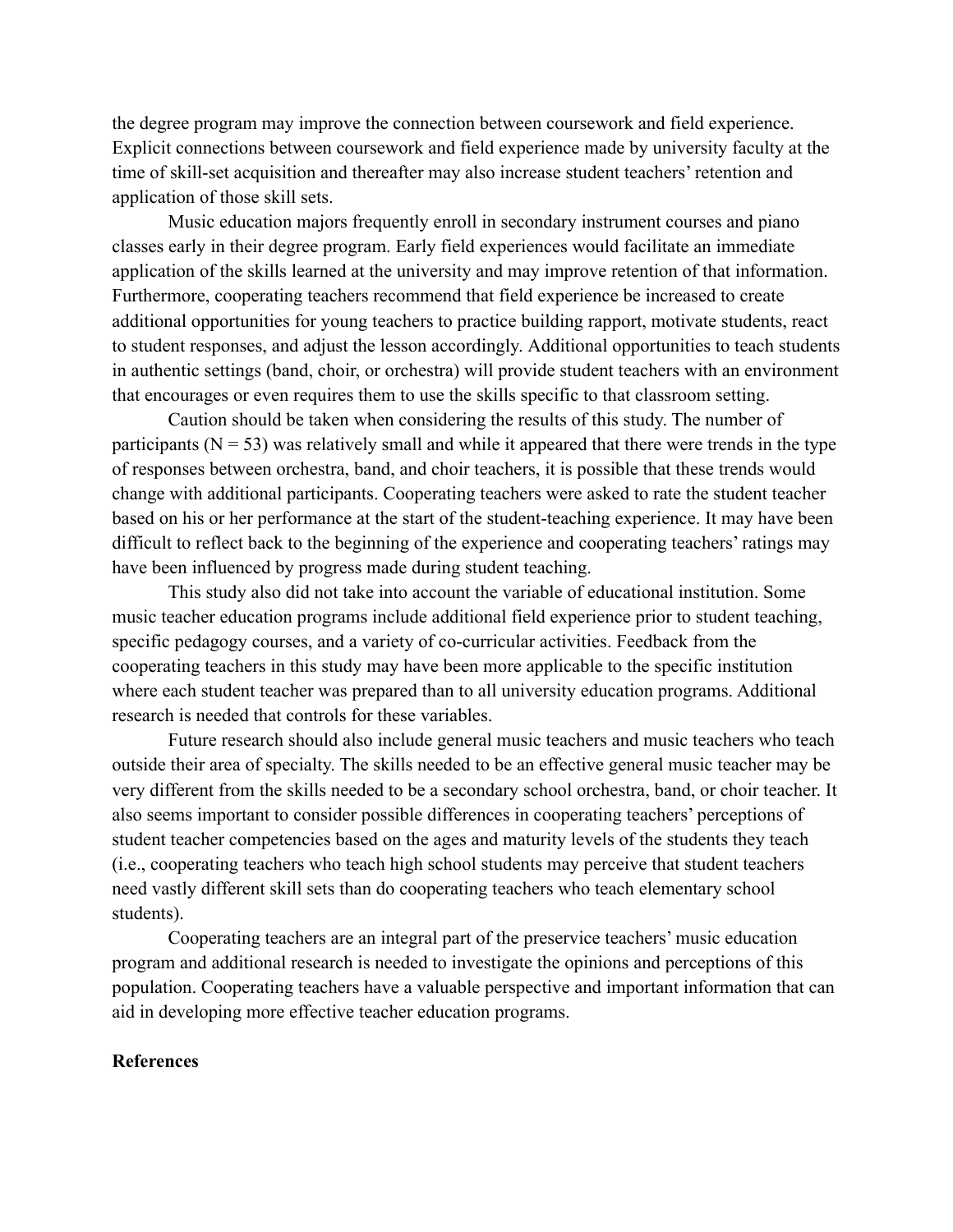the degree program may improve the connection between coursework and field experience. Explicit connections between coursework and field experience made by university faculty at the time of skill-set acquisition and thereafter may also increase student teachers' retention and application of those skill sets.

Music education majors frequently enroll in secondary instrument courses and piano classes early in their degree program. Early field experiences would facilitate an immediate application of the skills learned at the university and may improve retention of that information. Furthermore, cooperating teachers recommend that field experience be increased to create additional opportunities for young teachers to practice building rapport, motivate students, react to student responses, and adjust the lesson accordingly. Additional opportunities to teach students in authentic settings (band, choir, or orchestra) will provide student teachers with an environment that encourages or even requires them to use the skills specific to that classroom setting.

Caution should be taken when considering the results of this study. The number of participants ( $N = 53$ ) was relatively small and while it appeared that there were trends in the type of responses between orchestra, band, and choir teachers, it is possible that these trends would change with additional participants. Cooperating teachers were asked to rate the student teacher based on his or her performance at the start of the student-teaching experience. It may have been difficult to reflect back to the beginning of the experience and cooperating teachers' ratings may have been influenced by progress made during student teaching.

This study also did not take into account the variable of educational institution. Some music teacher education programs include additional field experience prior to student teaching, specific pedagogy courses, and a variety of co-curricular activities. Feedback from the cooperating teachers in this study may have been more applicable to the specific institution where each student teacher was prepared than to all university education programs. Additional research is needed that controls for these variables.

Future research should also include general music teachers and music teachers who teach outside their area of specialty. The skills needed to be an effective general music teacher may be very different from the skills needed to be a secondary school orchestra, band, or choir teacher. It also seems important to consider possible differences in cooperating teachers' perceptions of student teacher competencies based on the ages and maturity levels of the students they teach (i.e., cooperating teachers who teach high school students may perceive that student teachers need vastly different skill sets than do cooperating teachers who teach elementary school students).

Cooperating teachers are an integral part of the preservice teachers' music education program and additional research is needed to investigate the opinions and perceptions of this population. Cooperating teachers have a valuable perspective and important information that can aid in developing more effective teacher education programs.

## **References**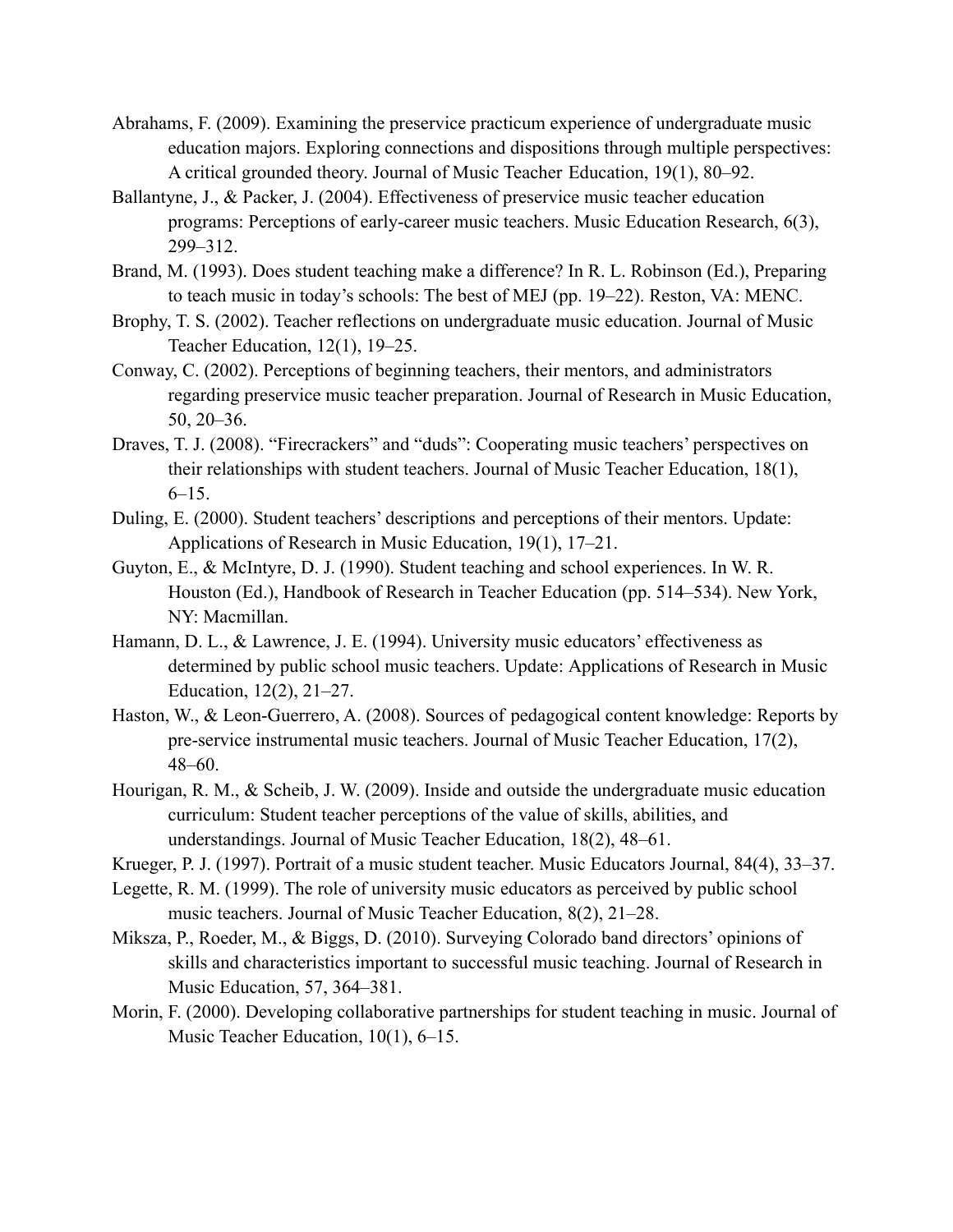- Abrahams, F. (2009). Examining the preservice practicum experience of undergraduate music education majors. Exploring connections and dispositions through multiple perspectives: A critical grounded theory. Journal of Music Teacher Education, 19(1), 80–92.
- Ballantyne, J., & Packer, J. (2004). Effectiveness of preservice music teacher education programs: Perceptions of early-career music teachers. Music Education Research, 6(3), 299–312.
- Brand, M. (1993). Does student teaching make a difference? In R. L. Robinson (Ed.), Preparing to teach music in today's schools: The best of MEJ (pp. 19–22). Reston, VA: MENC.
- Brophy, T. S. (2002). Teacher reflections on undergraduate music education. Journal of Music Teacher Education, 12(1), 19–25.
- Conway, C. (2002). Perceptions of beginning teachers, their mentors, and administrators regarding preservice music teacher preparation. Journal of Research in Music Education, 50, 20–36.
- Draves, T. J. (2008). "Firecrackers" and "duds": Cooperating music teachers' perspectives on their relationships with student teachers. Journal of Music Teacher Education, 18(1),  $6-15.$
- Duling, E. (2000). Student teachers' descriptions and perceptions of their mentors. Update: Applications of Research in Music Education, 19(1), 17–21.
- Guyton, E., & McIntyre, D. J. (1990). Student teaching and school experiences. In W. R. Houston (Ed.), Handbook of Research in Teacher Education (pp. 514–534). New York, NY: Macmillan.
- Hamann, D. L., & Lawrence, J. E. (1994). University music educators' effectiveness as determined by public school music teachers. Update: Applications of Research in Music Education, 12(2), 21–27.
- Haston, W., & Leon-Guerrero, A. (2008). Sources of pedagogical content knowledge: Reports by pre-service instrumental music teachers. Journal of Music Teacher Education, 17(2), 48–60.
- Hourigan, R. M., & Scheib, J. W. (2009). Inside and outside the undergraduate music education curriculum: Student teacher perceptions of the value of skills, abilities, and understandings. Journal of Music Teacher Education, 18(2), 48–61.
- Krueger, P. J. (1997). Portrait of a music student teacher. Music Educators Journal, 84(4), 33–37.
- Legette, R. M. (1999). The role of university music educators as perceived by public school music teachers. Journal of Music Teacher Education, 8(2), 21–28.
- Miksza, P., Roeder, M., & Biggs, D. (2010). Surveying Colorado band directors' opinions of skills and characteristics important to successful music teaching. Journal of Research in Music Education, 57, 364–381.
- Morin, F. (2000). Developing collaborative partnerships for student teaching in music. Journal of Music Teacher Education, 10(1), 6–15.